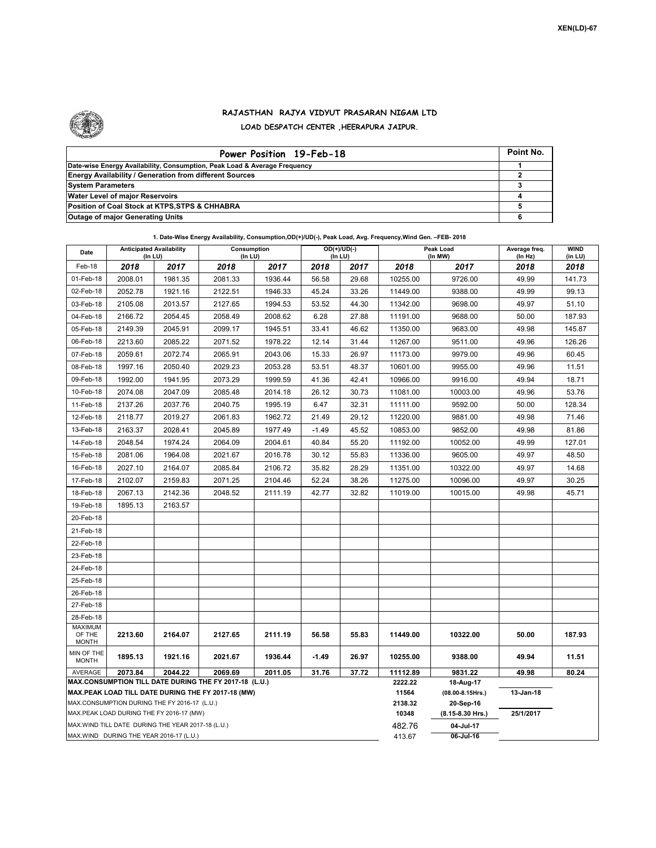## **RAJASTHAN RAJYA VIDYUT PRASARAN NIGAM LTD LOAD DESPATCH CENTER ,HEERAPURA JAIPUR.**

| Power Position 19-Feb-18                                                  | Point No. |
|---------------------------------------------------------------------------|-----------|
| Date-wise Energy Availability, Consumption, Peak Load & Average Frequency |           |
| <b>Energy Availability / Generation from different Sources</b>            |           |
| <b>System Parameters</b>                                                  |           |
| <b>Water Level of major Reservoirs</b>                                    |           |
| Position of Coal Stock at KTPS, STPS & CHHABRA                            |           |
| <b>Outage of major Generating Units</b>                                   |           |

| Date                                                     | <b>Anticipated Availability</b><br>(In LU)                                                    |              | Consumption<br>$($ In LU $)$ | $OD(+)/UD(-)$<br>(In LU) |                  |                        | Peak Load<br>(In MW) | Average freq.<br>(In Hz) | <b>WIND</b><br>(in LU) |        |  |  |
|----------------------------------------------------------|-----------------------------------------------------------------------------------------------|--------------|------------------------------|--------------------------|------------------|------------------------|----------------------|--------------------------|------------------------|--------|--|--|
| Feb-18                                                   | 2018                                                                                          | 2018<br>2017 |                              | 2017                     | 2018             | 2017                   | 2018                 | 2017                     | 2018                   | 2018   |  |  |
| 01-Feb-18                                                | 2008.01                                                                                       | 1981.35      | 2081.33                      | 1936.44                  | 56.58            | 29.68                  | 10255.00             | 9726.00                  | 49.99                  | 141.73 |  |  |
| 02-Feb-18                                                | 2052.78                                                                                       | 1921.16      | 2122.51                      | 1946.33                  | 45.24            | 33.26                  | 11449.00             | 9388.00                  | 49.99                  | 99.13  |  |  |
| 03-Feb-18                                                | 2105.08                                                                                       | 2013.57      | 2127.65                      | 1994.53                  | 53.52            | 44.30                  | 11342.00             | 9698.00                  | 49.97                  | 51.10  |  |  |
| 04-Feb-18                                                | 2166.72                                                                                       | 2054.45      | 2058.49                      | 2008.62                  | 6.28             | 27.88                  | 11191.00             | 9688.00                  | 50.00                  | 187.93 |  |  |
| 05-Feb-18                                                | 2149.39                                                                                       | 2045.91      | 2099.17                      | 1945.51                  | 33.41            | 46.62                  | 11350.00             | 9683.00                  | 49.98                  | 145.87 |  |  |
| 06-Feb-18                                                | 2213.60                                                                                       | 2085.22      | 2071.52                      | 1978.22                  | 12.14            | 31.44                  | 11267.00             | 9511.00                  | 49.96                  | 126.26 |  |  |
| 07-Feb-18                                                | 2059.61                                                                                       | 2072.74      | 2065.91                      | 2043.06                  | 15.33            | 26.97                  | 11173.00             | 9979.00                  | 49.96                  | 60.45  |  |  |
| 08-Feb-18                                                | 1997.16                                                                                       | 2050.40      | 2029.23                      | 2053.28                  | 53.51            | 48.37                  | 10601.00             | 9955.00                  | 49.96                  | 11.51  |  |  |
| 09-Feb-18                                                | 1992.00                                                                                       | 1941.95      | 2073.29                      | 1999.59                  | 41.36            | 42.41                  | 10966.00             | 9916.00                  | 49.94                  | 18.71  |  |  |
| 10-Feb-18                                                | 2074.08                                                                                       | 2047.09      | 2085.48                      | 2014.18                  | 26.12            | 30.73                  | 11081.00             | 10003.00                 | 49.96                  | 53.76  |  |  |
| 11-Feb-18                                                | 2137.26                                                                                       | 2037.76      | 2040.75                      | 1995.19                  | 6.47             | 32.31                  | 11111.00             | 9592.00                  | 50.00                  | 128.34 |  |  |
| 12-Feb-18                                                | 2118.77                                                                                       | 2019.27      | 2061.83                      | 1962.72                  | 21.49            | 29.12                  | 11220.00             | 9881.00                  | 49.98                  | 71.46  |  |  |
| 13-Feb-18                                                | 2163.37                                                                                       | 2028.41      | 2045.89                      | 1977.49                  | $-1.49$          | 45.52                  | 10853.00             | 9852.00                  | 49.98                  | 81.86  |  |  |
| 14-Feb-18                                                | 2048.54                                                                                       | 1974.24      | 2064.09                      | 2004.61                  | 40.84            | 55.20                  | 11192.00             | 10052.00                 | 49.99                  | 127.01 |  |  |
| 15-Feb-18                                                | 2081.06                                                                                       | 1964.08      | 2021.67                      | 2016.78                  | 30.12            | 55.83                  | 11336.00             | 9605.00                  | 49.97                  | 48.50  |  |  |
| 16-Feb-18                                                | 2027.10                                                                                       | 2164.07      | 2085.84                      | 2106.72                  | 35.82            | 28.29                  | 11351.00             | 10322.00                 | 49.97                  | 14.68  |  |  |
| 17-Feb-18                                                | 2102.07                                                                                       | 2159.83      | 2071.25                      | 2104.46                  | 52.24            | 38.26                  | 11275.00             | 10096.00                 | 49.97                  | 30.25  |  |  |
| 18-Feb-18                                                | 2067.13                                                                                       | 2142.36      | 2048.52                      | 2111.19                  | 42.77            | 32.82                  | 11019.00             | 10015.00                 | 49.98                  | 45.71  |  |  |
| 19-Feb-18                                                | 1895.13                                                                                       | 2163.57      |                              |                          |                  |                        |                      |                          |                        |        |  |  |
| 20-Feb-18                                                |                                                                                               |              |                              |                          |                  |                        |                      |                          |                        |        |  |  |
| 21-Feb-18                                                |                                                                                               |              |                              |                          |                  |                        |                      |                          |                        |        |  |  |
| 22-Feb-18                                                |                                                                                               |              |                              |                          |                  |                        |                      |                          |                        |        |  |  |
| 23-Feb-18                                                |                                                                                               |              |                              |                          |                  |                        |                      |                          |                        |        |  |  |
| 24-Feb-18                                                |                                                                                               |              |                              |                          |                  |                        |                      |                          |                        |        |  |  |
| 25-Feb-18                                                |                                                                                               |              |                              |                          |                  |                        |                      |                          |                        |        |  |  |
| 26-Feb-18                                                |                                                                                               |              |                              |                          |                  |                        |                      |                          |                        |        |  |  |
| 27-Feb-18                                                |                                                                                               |              |                              |                          |                  |                        |                      |                          |                        |        |  |  |
| 28-Feb-18                                                |                                                                                               |              |                              |                          |                  |                        |                      |                          |                        |        |  |  |
| <b>MAXIMUM</b><br>OF THE                                 | 2213.60                                                                                       | 2164.07      | 2127.65                      | 2111.19                  | 56.58            | 55.83                  | 11449.00             | 10322.00                 | 50.00                  | 187.93 |  |  |
| <b>MONTH</b><br>MIN OF THE<br>1895.13<br>1921.16         |                                                                                               | 2021.67      | 1936.44                      | $-1.49$                  | 26.97            | 10255.00               | 9388.00              | 49.94                    | 11.51                  |        |  |  |
| <b>MONTH</b><br>AVERAGE<br>2073.84<br>2044.22<br>2069.69 |                                                                                               | 2011.05      | 31.76                        | 37.72                    | 11112.89         | 9831.22                | 49.98                | 80.24                    |                        |        |  |  |
| MAX.CONSUMPTION TILL DATE DURING THE FY 2017-18 (L.U.)   |                                                                                               |              |                              |                          |                  |                        |                      | 18-Aug-17                |                        |        |  |  |
| MAX.PEAK LOAD TILL DATE DURING THE FY 2017-18 (MW)       |                                                                                               |              |                              |                          |                  |                        |                      | $(08.00 - 8.15$ Hrs.)    | 13-Jan-18              |        |  |  |
|                                                          | MAX.CONSUMPTION DURING THE FY 2016-17 (L.U.)                                                  |              |                              |                          |                  |                        | 2138.32              | 20-Sep-16                |                        |        |  |  |
|                                                          | MAX.PEAK LOAD DURING THE FY 2016-17 (MW)                                                      |              |                              |                          |                  |                        | 10348                | $(8.15 - 8.30$ Hrs.)     | 25/1/2017              |        |  |  |
|                                                          | MAX. WIND TILL DATE DURING THE YEAR 2017-18 (L.U.)<br>MAX.WIND DURING THE YEAR 2016-17 (L.U.) |              |                              |                          | 482.76<br>413.67 | 04-Jul-17<br>06-Jul-16 |                      |                          |                        |        |  |  |
|                                                          |                                                                                               |              |                              |                          |                  |                        |                      |                          |                        |        |  |  |

**1. Date-Wise Energy Availability, Consumption,OD(+)/UD(-), Peak Load, Avg. Frequency,Wind Gen. –FEB- 2018**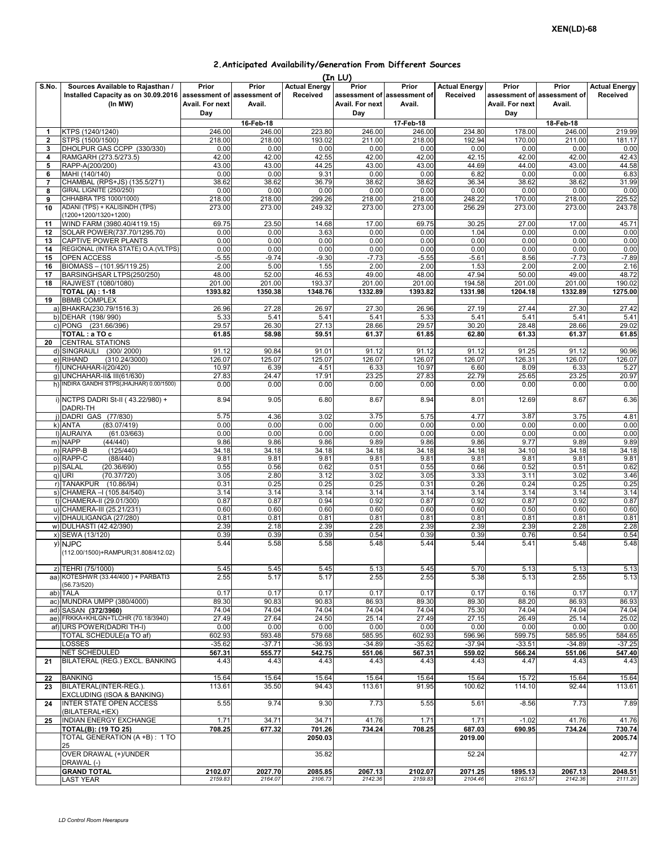## **2.Anticipated Availability/Generation From Different Sources**

|                |                                                                                                                |                                 |                   |                                  | (In LU)                         |                                                |                                  |                                 |                                                |                                  |
|----------------|----------------------------------------------------------------------------------------------------------------|---------------------------------|-------------------|----------------------------------|---------------------------------|------------------------------------------------|----------------------------------|---------------------------------|------------------------------------------------|----------------------------------|
| S.No.          | Sources Available to Rajasthan /<br>Installed Capacity as on 30.09.2016 assessment of assessment of<br>(In MW) | Prior<br>Avail. For next<br>Day | Prior<br>Avail.   | <b>Actual Energy</b><br>Received | Prior<br>Avail. For next<br>Day | Prior<br>assessment of assessment of<br>Avail. | <b>Actual Energy</b><br>Received | Prior<br>Avail. For next<br>Day | Prior<br>assessment of assessment of<br>Avail. | <b>Actual Energy</b><br>Received |
|                |                                                                                                                |                                 | 16-Feb-18         |                                  |                                 | 17-Feb-18                                      |                                  |                                 | 18-Feb-18                                      |                                  |
| $\mathbf{1}$   | KTPS (1240/1240)                                                                                               | 246.00                          | 246.00            | 223.80                           | 246.00                          | 246.00                                         | 234.80                           | 178.00                          | 246.00                                         | 219.99                           |
| $\overline{2}$ | STPS (1500/1500)                                                                                               | 218.00                          | 218.00            | 193.02                           | 211.00                          | 218.00                                         | 192.94                           | 170.00                          | 211.00                                         | 181.17                           |
| 3              | DHOLPUR GAS CCPP (330/330)                                                                                     | 0.00                            | 0.00              | 0.00                             | 0.00                            | 0.00                                           | 0.00                             | 0.00                            | 0.00                                           | 0.00                             |
| 4              | RAMGARH (273.5/273.5)<br>RAPP-A(200/200)                                                                       | 42.00<br>43.00                  | 42.00<br>43.00    | 42.55<br>44.25                   | 42.00<br>43.00                  | 42.00<br>43.00                                 | 42.15<br>44.69                   | 42.00<br>44.00                  | 42.00<br>43.00                                 | 42.43<br>44.58                   |
| 5<br>6         | MAHI (140/140)                                                                                                 | 0.00                            | 0.00              | 9.31                             | 0.00                            | 0.00                                           | 6.82                             | 0.00                            | 0.00                                           | 6.83                             |
| 7              | CHAMBAL (RPS+JS) (135.5/271)                                                                                   | 38.62                           | 38.62             | 36.79                            | 38.62                           | 38.62                                          | 36.34                            | 38.62                           | 38.62                                          | 31.99                            |
| 8              | <b>GIRAL LIGNITE (250/250)</b>                                                                                 | 0.00                            | 0.00              | 0.00                             | 0.00                            | 0.00                                           | 0.00                             | 0.00                            | 0.00                                           | 0.00                             |
| 9              | CHHABRA TPS 1000/1000)                                                                                         | 218.00                          | 218.00            | 299.26                           | 218.00                          | 218.00                                         | 248.22                           | 170.00                          | 218.00                                         | 225.52                           |
| 10             | ADANI (TPS) + KALISINDH (TPS)<br>(1200+1200/1320+1200)                                                         | 273.00                          | 273.00            | 249.32                           | 273.00                          | 273.00                                         | 256.29                           | 273.00                          | 273.00                                         | 243.78                           |
| 11<br>12       | WIND FARM (3980.40/4119.15)<br>SOLAR POWER(737.70/1295.70)                                                     | 69.75<br>0.00                   | 23.50<br>0.00     | 14.68<br>3.63                    | 17.00<br>0.00                   | 69.75<br>0.00                                  | 30.25<br>1.04                    | 27.00<br>0.00                   | 17.00<br>0.00                                  | 45.71<br>0.00                    |
| 13             | CAPTIVE POWER PLANTS                                                                                           | 0.00                            | 0.00              | 0.00                             | 0.00                            | 0.00                                           | 0.00                             | 0.00                            | 0.00                                           | 0.00                             |
| 14             | REGIONAL (INTRA STATE) O.A. (VLTPS)                                                                            | 0.00                            | 0.00              | 0.00                             | 0.00                            | 0.00                                           | 0.00                             | 0.00                            | 0.00                                           | 0.00                             |
| 15             | OPEN ACCESS                                                                                                    | $-5.55$                         | $-9.74$           | $-9.30$                          | $-7.73$                         | $-5.55$                                        | $-5.61$                          | 8.56                            | $-7.73$                                        | $-7.89$                          |
| 16             | BIOMASS - (101.95/119.25)                                                                                      | 2.00                            | 5.00              | 1.55                             | 2.00                            | 2.00                                           | 1.53                             | 2.00                            | 2.00                                           | 2.16                             |
| 17             | BARSINGHSAR LTPS(250/250)                                                                                      | 48.00                           | 52.00             | 46.53                            | 49.00                           | 48.00                                          | 47.94                            | 50.00                           | 49.00                                          | 48.72                            |
| 18             | RAJWEST (1080/1080)<br><b>TOTAL (A): 1-18</b>                                                                  | 201.00<br>1393.82               | 201.00<br>1350.38 | 193.37<br>1348.76                | 201.00                          | 201.00                                         | 194.58<br>1331.98                | 201.00<br>1204.18               | 201.00<br>1332.89                              | 190.02<br>1275.00                |
| 19             | <b>BBMB COMPLEX</b><br>a) BHAKRA(230.79/1516.3)                                                                | 26.96                           | 27.28             | 26.97                            | 1332.89<br>27.30                | 1393.82<br>26.96                               | 27.19                            | 27.44                           | 27.30                                          | 27.42                            |
|                | b) DEHAR (198/990)                                                                                             | 5.33                            | 5.41              | 5.41                             | 5.41                            | 5.33                                           | 5.41                             | 5.41                            | 5.41                                           | 5.41                             |
|                | c) PONG (231.66/396)                                                                                           | 29.57                           | 26.30             | 27.13                            | 28.66                           | 29.57                                          | 30.20                            | 28.48                           | 28.66                                          | 29.02                            |
|                | TOTAL : a TO c                                                                                                 | 61.85                           | 58.98             | 59.51                            | 61.37                           | 61.85                                          | 62.80                            | 61.33                           | 61.37                                          | 61.85                            |
| 20             | <b>CENTRAL STATIONS</b>                                                                                        |                                 |                   |                                  |                                 |                                                |                                  |                                 |                                                |                                  |
|                | d) SINGRAULI<br>(300/2000)                                                                                     | 91.12                           | 90.84             | 91.01                            | 91.12                           | 91.12                                          | 91.12                            | 91.25                           | 91.12                                          | 90.96                            |
|                | e) RIHAND<br>(310.24/3000)<br>f) UNCHAHAR-I(20/420)                                                            | 126.07                          | 125.07            | 125.07                           | 126.07                          | 126.07                                         | 126.07                           | 126.31                          | 126.07                                         | 126.07                           |
|                | g) UNCHAHAR-II& III(61/630)                                                                                    | 10.97<br>27.83                  | 6.39<br>24.47     | 4.51<br>17.91                    | 6.33<br>23.25                   | 10.97<br>27.83                                 | 6.60<br>22.79                    | 8.09<br>25.65                   | 6.33<br>23.25                                  | 5.27<br>20.97                    |
|                | h) INDIRA GANDHI STPS(JHAJHAR) 0.00/1500)                                                                      | 0.00                            | 0.00              | 0.00                             | 0.00                            | 0.00                                           | 0.00                             | 0.00                            | 0.00                                           | 0.00                             |
|                | i) NCTPS DADRI St-II (43.22/980) +                                                                             | 8.94                            | 9.05              | 6.80                             | 8.67                            | 8.94                                           | 8.01                             | 12.69                           | 8.67                                           | 6.36                             |
|                | DADRI-TH                                                                                                       |                                 |                   |                                  |                                 |                                                |                                  |                                 |                                                |                                  |
|                | j) DADRI GAS (77/830)                                                                                          | 5.75<br>0.00                    | 4.36              | 3.02<br>0.00                     | 3.75                            | 5.75                                           | 4.77<br>0.00                     | 3.87                            | 3.75<br>0.00                                   | 4.81                             |
|                | k) ANTA<br>(83.07/419)<br>I) AURAIYA<br>(61.03/663)                                                            | 0.00                            | 0.00<br>0.00      | 0.00                             | 0.00<br>0.00                    | 0.00<br>0.00                                   | 0.00                             | 0.00<br>0.00                    | 0.00                                           | 0.00<br>0.00                     |
|                | m) NAPP<br>(44/440)                                                                                            | 9.86                            | 9.86              | 9.86                             | 9.89                            | 9.86                                           | 9.86                             | 9.77                            | 9.89                                           | 9.89                             |
|                | n) RAPP-B<br>(125/440)                                                                                         | 34.18                           | 34.18             | 34.18                            | 34.18                           | 34.18                                          | 34.18                            | 34.10                           | 34.18                                          | 34.18                            |
|                | o) RAPP-C<br>(88/440)                                                                                          | 9.81                            | 9.81              | 9.81                             | 9.81                            | 9.81                                           | 9.81                             | 9.81                            | 9.81                                           | 9.81                             |
|                | p) SALAL<br>(20.36/690)                                                                                        | 0.55                            | 0.56              | 0.62                             | 0.51                            | 0.55                                           | 0.66                             | 0.52                            | 0.51                                           | 0.62                             |
|                | q) URI<br>(70.37/720)                                                                                          | 3.05                            | 2.80              | 3.12                             | 3.02                            | 3.05                                           | 3.33                             | 3.11                            | 3.02                                           | 3.46                             |
|                | r) TANAKPUR (10.86/94)<br>s) CHAMERA - (105.84/540)                                                            | 0.31<br>3.14                    | 0.25<br>3.14      | 0.25<br>3.14                     | 0.25<br>3.14                    | 0.31<br>3.14                                   | 0.26<br>3.14                     | 0.24<br>3.14                    | 0.25<br>3.14                                   | 0.25<br>3.14                     |
|                | t) CHAMERA-II (29.01/300)                                                                                      | 0.87                            | 0.87              | 0.94                             | 0.92                            | 0.87                                           | 0.92                             | 0.87                            | 0.92                                           | 0.87                             |
|                | u) CHAMERA-III (25.21/231)                                                                                     | 0.60                            | 0.60              | 0.60                             | 0.60                            | 0.60                                           | 0.60                             | 0.50                            | 0.60                                           | 0.60                             |
|                | v) DHAULIGANGA (27/280)                                                                                        | 0.81                            | 0.81              | 0.81                             | 0.81                            | 0.81                                           | 0.81                             | 0.81                            | 0.81                                           | 0.81                             |
|                | w) DULHASTI (42.42/390)                                                                                        | 2.39                            | 2.18              | 2.39                             | 2.28                            | 2.39                                           | 2.39                             | 2.39                            | 2.28                                           | 2.28                             |
|                | x) SEWA (13/120)                                                                                               | 0.39                            | 0.39              | 0.39                             | 0.54                            | 0.39                                           | 0.39                             | 0.76                            | 0.54                                           | 0.54                             |
|                | y) NJPC<br>(112.00/1500)+RAMPUR(31.808/412.02)                                                                 | 5.44                            | 5.58              | 5.58                             | 5.48                            | 5.44                                           | 5.44                             | 5.41                            | 5.48                                           | 5.48                             |
|                | z) TEHRI (75/1000)                                                                                             | 5.45                            | 5.45              | 5.45                             | 5.13                            | 5.45                                           | 5.70                             | 5.13                            | 5.13                                           | 5.13                             |
|                | aa) KOTESHWR (33.44/400) + PARBATI3                                                                            | 2.55                            | 5.17              | 5.17                             | 2.55                            | 2.55                                           | 5.38                             | 5.13                            | 2.55                                           | 5.13                             |
|                | (56.73/520)                                                                                                    |                                 |                   |                                  |                                 |                                                |                                  |                                 |                                                |                                  |
|                | ab) TALA<br>ac) MUNDRA UMPP (380/4000)                                                                         | 0.17<br>89.30                   | 0.17<br>90.83     | 0.17<br>90.83                    | 0.17<br>86.93                   | 0.17<br>89.30                                  | 0.17<br>89.30                    | 0.16<br>88.20                   | 0.17<br>86.93                                  | 0.17<br>86.93                    |
|                | ad) SASAN (372/3960)                                                                                           | 74.04                           | 74.04             | 74.04                            | 74.04                           | 74.04                                          | 75.30                            | 74.04                           | 74.04                                          | 74.04                            |
|                | ae) FRKKA+KHLGN+TLCHR (70.18/3940)                                                                             | 27.49                           | 27.64             | 24.50                            | 25.14                           | 27.49                                          | 27.15                            | 26.49                           | 25.14                                          | 25.02                            |
|                | af) URS POWER(DADRI TH-I)                                                                                      | 0.00                            | 0.00              | 0.00                             | 0.00                            | 0.00                                           | 0.00                             | 0.00                            | 0.00                                           | 0.00                             |
|                | TOTAL SCHEDULE(a TO af)                                                                                        | 602.93                          | 593.48            | 579.68                           | 585.95                          | 602.93                                         | 596.96                           | 599.75                          | 585.95                                         | 584.65                           |
|                | LOSSES                                                                                                         | $-35.62$                        | $-37.71$          | $-36.93$                         | $-34.89$                        | $-35.62$                                       | $-37.94$                         | $-33.51$                        | $-34.89$                                       | $-37.25$                         |
|                | NET SCHEDULED                                                                                                  | 567.31                          | 555.77            | 542.75                           | 551.06                          | 567.31                                         | 559.02                           | 566.24                          | 551.06                                         | 547.40                           |
| 21             | BILATERAL (REG.) EXCL. BANKING                                                                                 | 4.43                            | 4.43              | 4.43                             | 4.43                            | 4.43                                           | 4.43                             | 4.47                            | 4.43                                           | 4.43                             |
| 22             | <b>BANKING</b><br>BILATERAL(INTER-REG.).                                                                       | 15.64<br>113.61                 | 15.64<br>35.50    | 15.64<br>94.43                   | 15.64<br>113.61                 | 15.64<br>91.95                                 | 15.64<br>100.62                  | 15.72<br>114.10                 | 15.64<br>92.44                                 | 15.64<br>113.61                  |
| 23             | EXCLUDING (ISOA & BANKING)                                                                                     |                                 |                   |                                  |                                 |                                                |                                  |                                 |                                                |                                  |
| 24             | <b>INTER STATE OPEN ACCESS</b><br>(BILATERAL+IEX)                                                              | 5.55                            | 9.74              | 9.30                             | 7.73                            | 5.55                                           | 5.61                             | $-8.56$                         | 7.73                                           | 7.89                             |
| 25             | INDIAN ENERGY EXCHANGE                                                                                         | 1.71                            | 34.71             | 34.71                            | 41.76                           | 1.71                                           | 1.71                             | $-1.02$                         | 41.76                                          | 41.76                            |
|                | TOTAL(B): (19 TO 25)<br>TOTAL GENERATION (A +B): 1 TO<br>25                                                    | 708.25                          | 677.32            | 701.26<br>2050.03                | 734.24                          | 708.25                                         | 687.03<br>2019.00                | 690.95                          | 734.24                                         | 730.74<br>2005.74                |
|                | OVER DRAWAL (+)/UNDER<br>DRAWAL (-)                                                                            |                                 |                   | 35.82                            |                                 |                                                | 52.24                            |                                 |                                                | 42.77                            |
|                | <b>GRAND TOTAL</b>                                                                                             | 2102.07                         | 2027.70           | 2085.85                          | 2067.13                         | 2102.07                                        | 2071.25                          | 1895.13                         | 2067.13                                        | 2048.51                          |
|                | LAST YEAR                                                                                                      | 2159.83                         | 2164.07           | 2106.73                          | 2142.36                         | 2159.83                                        | 2104.46                          | 2163.57                         | 2142.36                                        | 2111.20                          |